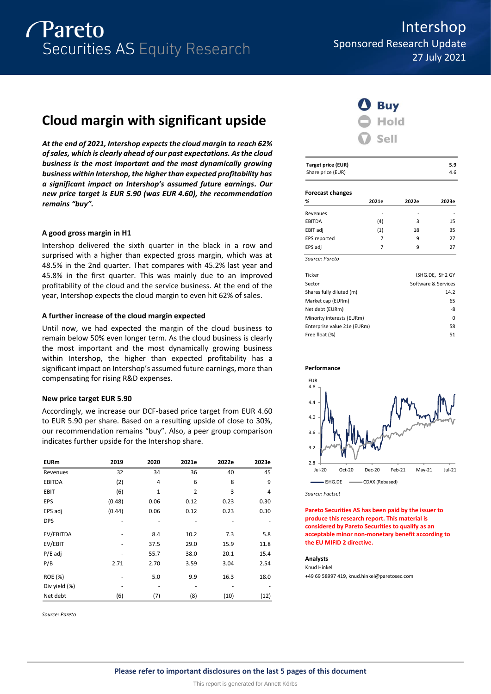

# **Cloud margin with significant upside**

*At the end of 2021, Intershop expects the cloud margin to reach 62% of sales, which is clearly ahead of our past expectations. As the cloud business is the most important and the most dynamically growing business within Intershop, the higher than expected profitability has a significant impact on Intershop's assumed future earnings. Our new price target is EUR 5.90 (was EUR 4.60), the recommendation remains "buy".*

#### **A good gross margin in H1**

Intershop delivered the sixth quarter in the black in a row and surprised with a higher than expected gross margin, which was at 48.5% in the 2nd quarter. That compares with 45.2% last year and 45.8% in the first quarter. This was mainly due to an improved profitability of the cloud and the service business. At the end of the year, Intershop expects the cloud margin to even hit 62% of sales.

#### **A further increase of the cloud margin expected**

Until now, we had expected the margin of the cloud business to remain below 50% even longer term. As the cloud business is clearly the most important and the most dynamically growing business within Intershop, the higher than expected profitability has a significant impact on Intershop's assumed future earnings, more than compensating for rising R&D expenses.

#### **New price target EUR 5.90**

Accordingly, we increase our DCF-based price target from EUR 4.60 to EUR 5.90 per share. Based on a resulting upside of close to 30%, our recommendation remains "buy". Also, a peer group comparison indicates further upside for the Intershop share.

| <b>EURm</b>    | 2019   | 2020         | 2021e          | 2022e | 2023e |
|----------------|--------|--------------|----------------|-------|-------|
| Revenues       | 32     | 34           | 36             | 40    | 45    |
| EBITDA         | (2)    | 4            | 6              | 8     | 9     |
| <b>EBIT</b>    | (6)    | $\mathbf{1}$ | $\overline{2}$ | 3     | 4     |
| <b>EPS</b>     | (0.48) | 0.06         | 0.12           | 0.23  | 0.30  |
| EPS adj        | (0.44) | 0.06         | 0.12           | 0.23  | 0.30  |
| <b>DPS</b>     |        |              |                |       |       |
| EV/EBITDA      |        | 8.4          | 10.2           | 7.3   | 5.8   |
| EV/EBIT        |        | 37.5         | 29.0           | 15.9  | 11.8  |
| $P/E$ adj      |        | 55.7         | 38.0           | 20.1  | 15.4  |
| P/B            | 2.71   | 2.70         | 3.59           | 3.04  | 2.54  |
| <b>ROE (%)</b> |        | 5.0          | 9.9            | 16.3  | 18.0  |
| Div yield (%)  |        |              |                |       |       |
| Net debt       | (6)    | (7)          | (8)            | (10)  | (12)  |

*Source: Pareto*

Intershop Sponsored Research Update 27 July 2021



| <b>Target price (EUR)</b> | 5.9 |
|---------------------------|-----|
| Share price (EUR)         | 4.6 |
|                           |     |

#### **Forecast changes**

| %             | 2021e | 2022e | 2023e |
|---------------|-------|-------|-------|
| Revenues      |       | -     |       |
| <b>EBITDA</b> | (4)   | 3     | 15    |
| EBIT adj      | (1)   | 18    | 35    |
| EPS reported  | 7     | 9     | 27    |
| EPS adj       | 7     | 9     | 27    |

*Source: Pareto*

| Ticker                      | ISHG.DE, ISH2 GY    |
|-----------------------------|---------------------|
| Sector                      | Software & Services |
| Shares fully diluted (m)    | 14.2                |
| Market cap (EURm)           | 65                  |
| Net debt (EURm)             | -8                  |
| Minority interests (EURm)   | 0                   |
| Enterprise value 21e (EURm) | 58                  |
| Free float (%)              | 51                  |





*Source: Factset*

**Pareto Securities AS has been paid by the issuer to produce this research report. This material is considered by Pareto Securities to qualify as an acceptable minor non-monetary benefit according to the EU MIFID 2 directive.**

#### **Analysts**

Knud Hinkel +49 69 58997 419, knud.hinkel@paretosec.com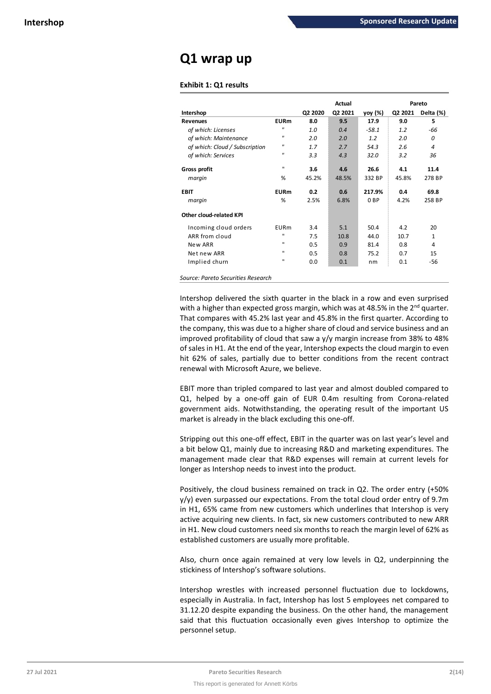## **Q1 wrap up**

#### **Exhibit 1: Q1 results**

|                                |                |         | Actual  |                 |         | Pareto    |
|--------------------------------|----------------|---------|---------|-----------------|---------|-----------|
| Intershop                      |                | Q2 2020 | Q2 2021 | yoy (%)         | Q2 2021 | Delta (%) |
| <b>Revenues</b>                | <b>EURm</b>    | 8.0     | 9.5     | 17.9            | 9.0     | 5         |
| of which: Licenses             | $^{\prime}$    | 1.0     | 0.4     | $-58.1$         | 1.2     | -66       |
| of which: Maintenance          | $^{\prime}$    | 2.0     | 2.0     | 1.2             | 2.0     | 0         |
| of which: Cloud / Subscription | $\mathbf{u}$   | 1.7     | 2.7     | 54.3            | 2.6     | 4         |
| of which: Services             | $^{\prime}$    | 3.3     | 4.3     | 32.0            | 3.2     | 36        |
| Gross profit                   | $\mathbf{H}$   | 3.6     | 4.6     | 26.6            | 4.1     | 11.4      |
| margin                         | %              | 45.2%   | 48.5%   | 332 BP          | 45.8%   | 278 BP    |
| EBIT                           | <b>EURm</b>    | 0.2     | 0.6     | 217.9%          | 0.4     | 69.8      |
| margin                         | %              | 2.5%    | 6.8%    | 0 <sub>BP</sub> | 4.2%    | 258 BP    |
| Other cloud-related KPI        |                |         |         |                 |         |           |
| Incoming cloud orders          | EURm           | 3.4     | 5.1     | 50.4            | 4.2     | 20        |
| ARR from cloud                 | $\blacksquare$ | 7.5     | 10.8    | 44.0            | 10.7    | 1         |
| New ARR                        | $\mathbf{H}$   | 0.5     | 0.9     | 81.4            | 0.8     | 4         |
| Net new ARR                    | $\blacksquare$ | 0.5     | 0.8     | 75.2            | 0.7     | 15        |
| Implied churn                  | $\blacksquare$ | 0.0     | 0.1     | nm              | 0.1     | -56       |

*Source: Pareto Securities Research*

Intershop delivered the sixth quarter in the black in a row and even surprised with a higher than expected gross margin, which was at 48.5% in the  $2^{nd}$  quarter. That compares with 45.2% last year and 45.8% in the first quarter. According to the company, this was due to a higher share of cloud and service business and an improved profitability of cloud that saw a y/y margin increase from 38% to 48% of sales in H1. At the end of the year, Intershop expects the cloud margin to even hit 62% of sales, partially due to better conditions from the recent contract renewal with Microsoft Azure, we believe.

EBIT more than tripled compared to last year and almost doubled compared to Q1, helped by a one-off gain of EUR 0.4m resulting from Corona-related government aids. Notwithstanding, the operating result of the important US market is already in the black excluding this one-off.

Stripping out this one-off effect, EBIT in the quarter was on last year's level and a bit below Q1, mainly due to increasing R&D and marketing expenditures. The management made clear that R&D expenses will remain at current levels for longer as Intershop needs to invest into the product.

Positively, the cloud business remained on track in Q2. The order entry (+50%  $y/y$ ) even surpassed our expectations. From the total cloud order entry of 9.7m in H1, 65% came from new customers which underlines that Intershop is very active acquiring new clients. In fact, six new customers contributed to new ARR in H1. New cloud customers need six months to reach the margin level of 62% as established customers are usually more profitable.

Also, churn once again remained at very low levels in Q2, underpinning the stickiness of Intershop's software solutions.

Intershop wrestles with increased personnel fluctuation due to lockdowns, especially in Australia. In fact, Intershop has lost 5 employees net compared to 31.12.20 despite expanding the business. On the other hand, the management said that this fluctuation occasionally even gives Intershop to optimize the personnel setup.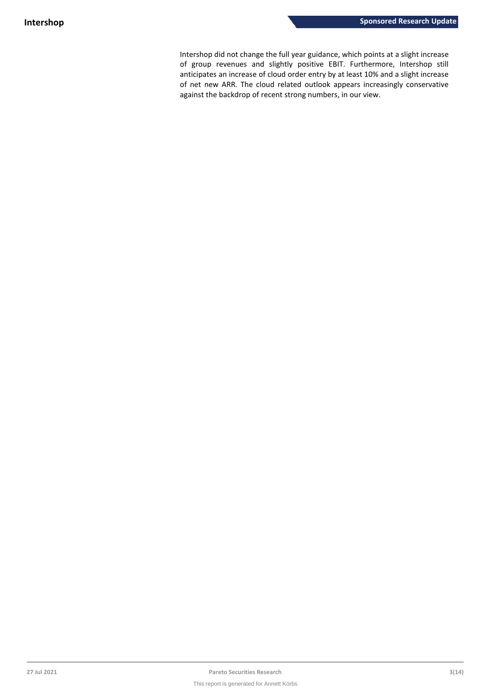Intershop did not change the full year guidance, which points at a slight increase of group revenues and slightly positive EBIT. Furthermore, Intershop still anticipates an increase of cloud order entry by at least 10% and a slight increase of net new ARR. The cloud related outlook appears increasingly conservative against the backdrop of recent strong numbers, in our view.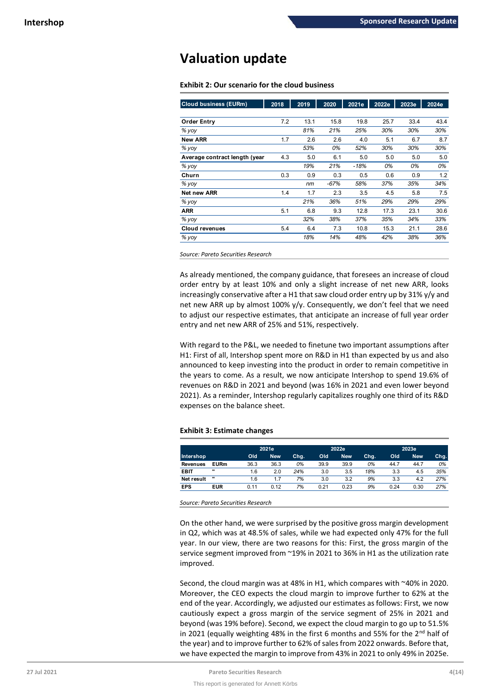## **Valuation update**

**Exhibit 2: Our scenario for the cloud business**

| <b>Cloud business (EURm)</b>  | 2018 | 2019 | 2020   | 2021e  | 2022e | 2023e | 2024e |
|-------------------------------|------|------|--------|--------|-------|-------|-------|
| <b>Order Entry</b>            | 7.2  | 13.1 | 15.8   | 19.8   | 25.7  | 33.4  | 43.4  |
| % yoy                         |      | 81%  | 21%    | 25%    | 30%   | 30%   | 30%   |
| <b>New ARR</b>                | 1.7  | 2.6  | 2.6    | 4.0    | 5.1   | 6.7   | 8.7   |
| $%$ yoy                       |      | 53%  | 0%     | 52%    | 30%   | 30%   | 30%   |
| Average contract length (year | 4.3  | 5.0  | 6.1    | 5.0    | 5.0   | 5.0   | 5.0   |
| % yoy                         |      | 19%  | 21%    | $-18%$ | 0%    | 0%    | 0%    |
| Churn                         | 0.3  | 0.9  | 0.3    | 0.5    | 0.6   | 0.9   | 1.2   |
| % yoy                         |      | nm   | $-67%$ | 58%    | 37%   | 35%   | 34%   |
| Net new ARR                   | 1.4  | 1.7  | 2.3    | 3.5    | 4.5   | 5.8   | 7.5   |
| % yoy                         |      | 21%  | 36%    | 51%    | 29%   | 29%   | 29%   |
| <b>ARR</b>                    | 5.1  | 6.8  | 9.3    | 12.8   | 17.3  | 23.1  | 30.6  |
| % yoy                         |      | 32%  | 38%    | 37%    | 35%   | 34%   | 33%   |
| <b>Cloud revenues</b>         | 5.4  | 6.4  | 7.3    | 10.8   | 15.3  | 21.1  | 28.6  |
| $%$ yoy                       |      | 18%  | 14%    | 48%    | 42%   | 38%   | 36%   |

*Source: Pareto Securities Research*

As already mentioned, the company guidance, that foresees an increase of cloud order entry by at least 10% and only a slight increase of net new ARR, looks increasingly conservative after a H1 that saw cloud order entry up by 31% y/y and net new ARR up by almost 100% y/y. Consequently, we don't feel that we need to adjust our respective estimates, that anticipate an increase of full year order entry and net new ARR of 25% and 51%, respectively.

With regard to the P&L, we needed to finetune two important assumptions after H1: First of all, Intershop spent more on R&D in H1 than expected by us and also announced to keep investing into the product in order to remain competitive in the years to come. As a result, we now anticipate Intershop to spend 19.6% of revenues on R&D in 2021 and beyond (was 16% in 2021 and even lower beyond 2021). As a reminder, Intershop regularly capitalizes roughly one third of its R&D expenses on the balance sheet.

#### **Exhibit 3: Estimate changes**

|             |             |      | 2021e      |      |      | 2022e      |      |      | 2023e      |      |  |
|-------------|-------------|------|------------|------|------|------------|------|------|------------|------|--|
| Intershop   |             | Old  | <b>New</b> | Chg. | Old  | <b>New</b> | Chg. | Old  | <b>New</b> | Chg. |  |
| Revenues    | <b>EURm</b> | 36.3 | 36.3       | 0%   | 39.9 | 39.9       | 0%   | 44.7 | 44.7       | 0%   |  |
| <b>EBIT</b> |             | 1.6  | 2.0        | 24%  | 3.0  | 3.5        | 18%  | 3.3  | 4.5        | 35%  |  |
| Net result  |             | 1.6  |            | 7%   | 3.0  | 3.2        | 9%   | 3.3  | 4.2        | 27%  |  |
| <b>EPS</b>  | <b>EUR</b>  | 0.11 | 0.12       | 7%   | 0.21 | 0.23       | 9%   | 0.24 | 0.30       | 27%  |  |

*Source: Pareto Securities Research*

On the other hand, we were surprised by the positive gross margin development in Q2, which was at 48.5% of sales, while we had expected only 47% for the full year. In our view, there are two reasons for this: First, the gross margin of the service segment improved from ~19% in 2021 to 36% in H1 as the utilization rate improved.

Second, the cloud margin was at 48% in H1, which compares with ~40% in 2020. Moreover, the CEO expects the cloud margin to improve further to 62% at the end of the year. Accordingly, we adjusted our estimates as follows: First, we now cautiously expect a gross margin of the service segment of 25% in 2021 and beyond (was 19% before). Second, we expect the cloud margin to go up to 51.5% in 2021 (equally weighting 48% in the first 6 months and 55% for the  $2^{nd}$  half of the year) and to improve further to 62% of sales from 2022 onwards. Before that, we have expected the margin to improve from 43% in 2021 to only 49% in 2025e.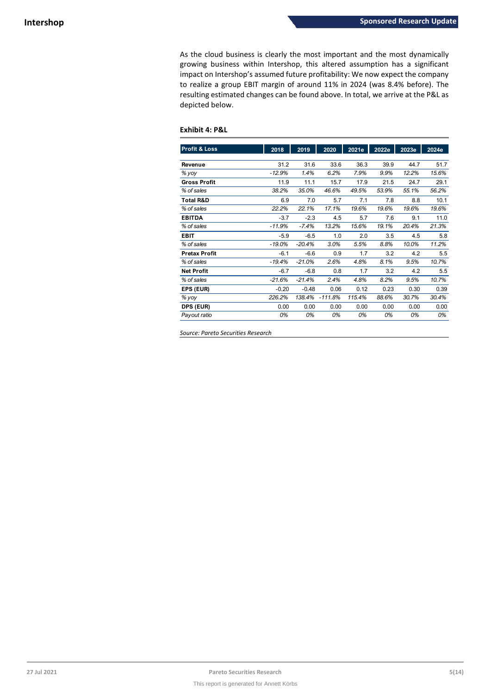As the cloud business is clearly the most important and the most dynamically growing business within Intershop, this altered assumption has a significant impact on Intershop's assumed future profitability: We now expect the company to realize a group EBIT margin of around 11% in 2024 (was 8.4% before). The resulting estimated changes can be found above. In total, we arrive at the P&L as depicted below.

#### **Exhibit 4: P&L**

| <b>Profit &amp; Loss</b> | 2018     | 2019     | 2020      | 2021e  | 2022e | 2023e | 2024e |
|--------------------------|----------|----------|-----------|--------|-------|-------|-------|
|                          |          |          |           |        |       |       |       |
| Revenue                  | 31.2     | 31.6     | 33.6      | 36.3   | 39.9  | 44.7  | 51.7  |
| % yoy                    | $-12.9%$ | 1.4%     | 6.2%      | 7.9%   | 9.9%  | 12.2% | 15.6% |
| <b>Gross Profit</b>      | 11.9     | 11.1     | 15.7      | 17.9   | 21.5  | 24.7  | 29.1  |
| % of sales               | 38.2%    | 35.0%    | 46.6%     | 49.5%  | 53.9% | 55.1% | 56.2% |
| <b>Total R&amp;D</b>     | 6.9      | 7.0      | 5.7       | 7.1    | 7.8   | 8.8   | 10.1  |
| % of sales               | 22.2%    | 22.1%    | 17.1%     | 19.6%  | 19.6% | 19.6% | 19.6% |
| <b>EBITDA</b>            | $-3.7$   | $-2.3$   | 4.5       | 5.7    | 7.6   | 9.1   | 11.0  |
| % of sales               | $-11.9%$ | $-7.4%$  | 13.2%     | 15.6%  | 19.1% | 20.4% | 21.3% |
| <b>EBIT</b>              | $-5.9$   | $-6.5$   | 1.0       | 2.0    | 3.5   | 4.5   | 5.8   |
| % of sales               | $-19.0%$ | $-20.4%$ | 3.0%      | 5.5%   | 8.8%  | 10.0% | 11.2% |
| <b>Pretax Profit</b>     | $-6.1$   | $-6.6$   | 0.9       | 1.7    | 3.2   | 4.2   | 5.5   |
| % of sales               | $-19.4%$ | $-21.0%$ | 2.6%      | 4.8%   | 8.1%  | 9.5%  | 10.7% |
| <b>Net Profit</b>        | $-6.7$   | $-6.8$   | 0.8       | 1.7    | 3.2   | 4.2   | 5.5   |
| % of sales               | $-21.6%$ | $-21.4%$ | 2.4%      | 4.8%   | 8.2%  | 9.5%  | 10.7% |
| EPS (EUR)                | $-0.20$  | $-0.48$  | 0.06      | 0.12   | 0.23  | 0.30  | 0.39  |
| % yoy                    | 226.2%   | 138.4%   | $-111.8%$ | 115.4% | 88.6% | 30.7% | 30.4% |
| DPS (EUR)                | 0.00     | 0.00     | 0.00      | 0.00   | 0.00  | 0.00  | 0.00  |
| Payout ratio             | 0%       | 0%       | 0%        | 0%     | 0%    | 0%    | 0%    |

*Source: Pareto Securities Research*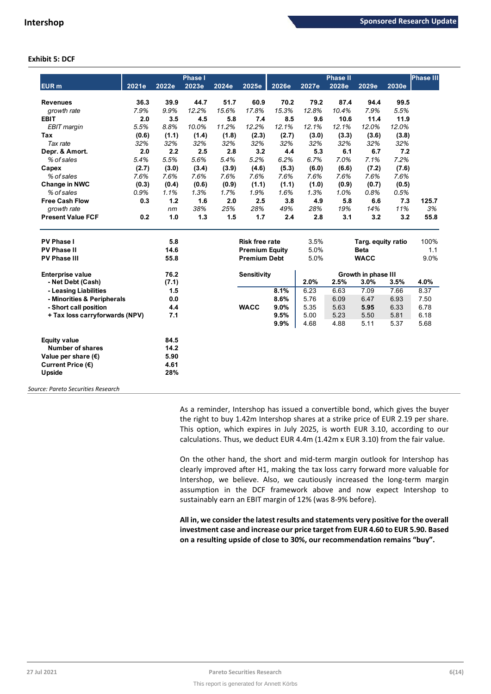### **Exhibit 5: DCF**

|                                |       |       | <b>Phase I</b> |                       |                       |       |       | <b>Phase II</b> |                     |                    | <b>Phase III</b> |
|--------------------------------|-------|-------|----------------|-----------------------|-----------------------|-------|-------|-----------------|---------------------|--------------------|------------------|
| EUR <sub>m</sub>               | 2021e | 2022e | 2023e          | 2024e                 | 2025e                 | 2026e | 2027e | 2028e           | 2029e               | 2030e              |                  |
| <b>Revenues</b>                | 36.3  | 39.9  | 44.7           | 51.7                  | 60.9                  | 70.2  | 79.2  | 87.4            | 94.4                | 99.5               |                  |
| growth rate                    | 7.9%  | 9.9%  | 12.2%          | 15.6%                 | 17.8%                 | 15.3% | 12.8% | 10.4%           | 7.9%                | 5.5%               |                  |
| <b>EBIT</b>                    | 2.0   | 3.5   | 4.5            | 5.8                   | 7.4                   | 8.5   | 9.6   | 10.6            | 11.4                | 11.9               |                  |
| EBIT margin                    | 5.5%  | 8.8%  | 10.0%          | 11.2%                 | 12.2%                 | 12.1% | 12.1% | 12.1%           | 12.0%               | 12.0%              |                  |
| <b>Tax</b>                     | (0.6) | (1.1) | (1.4)          | (1.8)                 | (2.3)                 | (2.7) | (3.0) | (3.3)           | (3.6)               | (3.8)              |                  |
| Tax rate                       | 32%   | 32%   | 32%            | 32%                   | 32%                   | 32%   | 32%   | 32%             | 32%                 | 32%                |                  |
| Depr. & Amort.                 | 2.0   | 2.2   | 2.5            | 2.8                   | 3.2                   | 4.4   | 5.3   | 6.1             | 6.7                 | 7.2                |                  |
| % of sales                     | 5.4%  | 5.5%  | 5.6%           | 5.4%                  | 5.2%                  | 6.2%  | 6.7%  | 7.0%            | 7.1%                | 7.2%               |                  |
| Capex                          | (2.7) | (3.0) | (3.4)          | (3.9)                 | (4.6)                 | (5.3) | (6.0) | (6.6)           | (7.2)               | (7.6)              |                  |
| % of sales                     | 7.6%  | 7.6%  | 7.6%           | 7.6%                  | 7.6%                  | 7.6%  | 7.6%  | 7.6%            | 7.6%                | 7.6%               |                  |
| Change in NWC                  | (0.3) | (0.4) | (0.6)          | (0.9)                 | (1.1)                 | (1.1) | (1.0) | (0.9)           | (0.7)               | (0.5)              |                  |
| % of sales                     | 0.9%  | 1.1%  | 1.3%           | 1.7%                  | 1.9%                  | 1.6%  | 1.3%  | 1.0%            | 0.8%                | 0.5%               |                  |
| <b>Free Cash Flow</b>          | 0.3   | 1.2   | 1.6            | 2.0                   | 2.5                   | 3.8   | 4.9   | 5.8             | 6.6                 | 7.3                | 125.7            |
| growth rate                    |       | nm    | 38%            | 25%                   | 28%                   | 49%   | 28%   | 19%             | 14%                 | 11%                | 3%               |
| <b>Present Value FCF</b>       | 0.2   | 1.0   | 1.3            | 1.5                   | 1.7                   | 2.4   | 2.8   | 3.1             | 3.2                 | 3.2                | 55.8             |
| <b>PV Phase I</b>              | 5.8   |       |                | <b>Risk free rate</b> |                       |       | 3.5%  |                 |                     | Targ. equity ratio | 100%             |
| <b>PV Phase II</b>             |       | 14.6  |                |                       | <b>Premium Equity</b> |       | 5.0%  |                 | <b>Beta</b>         |                    | 1.1              |
| <b>PV Phase III</b>            |       | 55.8  |                |                       | <b>Premium Debt</b>   |       | 5.0%  |                 | <b>WACC</b>         |                    | 9.0%             |
| <b>Enterprise value</b>        |       | 76.2  |                |                       | <b>Sensitivity</b>    |       |       |                 | Growth in phase III |                    |                  |
| - Net Debt (Cash)              |       | (7.1) |                |                       |                       |       | 2.0%  | 2.5%            | 3.0%                | 3.5%               | 4.0%             |
| - Leasing Liabilities          |       | 1.5   |                |                       |                       | 8.1%  | 6.23  | 6.63            | 7.09                | 7.66               | 8.37             |
| - Minorities & Peripherals     |       | 0.0   |                |                       |                       | 8.6%  | 5.76  | 6.09            | 6.47                | 6.93               | 7.50             |
| - Short call position          |       | 4.4   |                |                       | <b>WACC</b>           | 9.0%  | 5.35  | 5.63            | 5.95                | 6.33               | 6.78             |
| + Tax loss carryforwards (NPV) |       | 7.1   |                |                       |                       | 9.5%  | 5.00  | 5.23            | 5.50                | 5.81               | 6.18             |
|                                |       |       |                |                       |                       | 9.9%  | 4.68  | 4.88            | 5.11                | 5.37               | 5.68             |
| <b>Equity value</b>            |       | 84.5  |                |                       |                       |       |       |                 |                     |                    |                  |
| <b>Number of shares</b>        |       | 14.2  |                |                       |                       |       |       |                 |                     |                    |                  |
| Value per share $(\epsilon)$   |       | 5.90  |                |                       |                       |       |       |                 |                     |                    |                  |
| Current Price (€)              |       | 4.61  |                |                       |                       |       |       |                 |                     |                    |                  |
| Upside                         |       | 28%   |                |                       |                       |       |       |                 |                     |                    |                  |

*Source: Pareto Securities Research*

As a reminder, Intershop has issued a convertible bond, which gives the buyer the right to buy 1.42m Intershop shares at a strike price of EUR 2.19 per share. This option, which expires in July 2025, is worth EUR 3.10, according to our calculations. Thus, we deduct EUR 4.4m (1.42m x EUR 3.10) from the fair value.

On the other hand, the short and mid-term margin outlook for Intershop has clearly improved after H1, making the tax loss carry forward more valuable for Intershop, we believe. Also, we cautiously increased the long-term margin assumption in the DCF framework above and now expect Intershop to sustainably earn an EBIT margin of 12% (was 8-9% before).

**All in, we consider the latest results and statements very positive for the overall investment case and increase our price target from EUR 4.60 to EUR 5.90. Based on a resulting upside of close to 30%, our recommendation remains "buy".**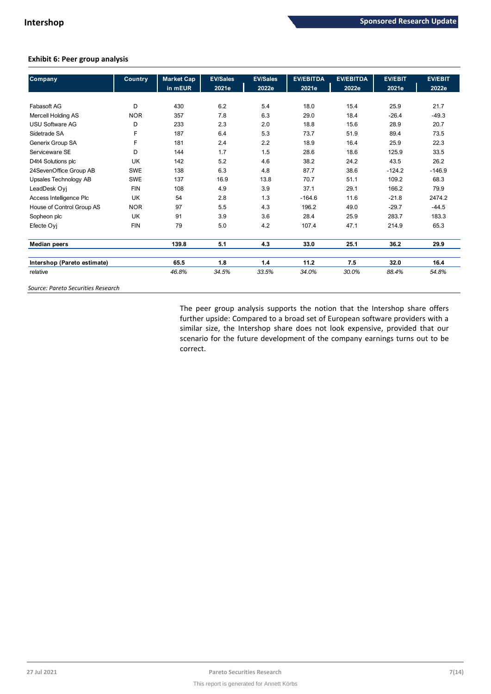## **Exhibit 6: Peer group analysis**

| <b>Company</b>              | <b>Country</b> | Market Cap | <b>EV/Sales</b> | <b>EV/Sales</b> | <b>EV/EBITDA</b> | <b>EV/EBITDA</b> | <b>EV/EBIT</b> | <b>EV/EBIT</b> |
|-----------------------------|----------------|------------|-----------------|-----------------|------------------|------------------|----------------|----------------|
|                             |                | in mEUR    | 2021e           | 2022e           | 2021e            | 2022e            | 2021e          | 2022e          |
|                             |                |            |                 |                 |                  |                  |                |                |
| Fabasoft AG                 | D              | 430        | 6.2             | 5.4             | 18.0             | 15.4             | 25.9           | 21.7           |
| <b>Mercell Holding AS</b>   | <b>NOR</b>     | 357        | 7.8             | 6.3             | 29.0             | 18.4             | $-26.4$        | $-49.3$        |
| <b>USU Software AG</b>      | D              | 233        | 2.3             | 2.0             | 18.8             | 15.6             | 28.9           | 20.7           |
| Sidetrade SA                | F              | 187        | 6.4             | 5.3             | 73.7             | 51.9             | 89.4           | 73.5           |
| Generix Group SA            | F              | 181        | 2.4             | 2.2             | 18.9             | 16.4             | 25.9           | 22.3           |
| Serviceware SE              | D              | 144        | 1.7             | 1.5             | 28.6             | 18.6             | 125.9          | 33.5           |
| D4t4 Solutions plc          | UK             | 142        | 5.2             | 4.6             | 38.2             | 24.2             | 43.5           | 26.2           |
| 24SevenOffice Group AB      | <b>SWE</b>     | 138        | 6.3             | 4.8             | 87.7             | 38.6             | $-124.2$       | $-146.9$       |
| Upsales Technology AB       | <b>SWE</b>     | 137        | 16.9            | 13.8            | 70.7             | 51.1             | 109.2          | 68.3           |
| LeadDesk Oyj                | <b>FIN</b>     | 108        | 4.9             | 3.9             | 37.1             | 29.1             | 166.2          | 79.9           |
| Access Intelligence Plc     | <b>UK</b>      | 54         | 2.8             | 1.3             | $-164.6$         | 11.6             | $-21.8$        | 2474.2         |
| House of Control Group AS   | <b>NOR</b>     | 97         | 5.5             | 4.3             | 196.2            | 49.0             | $-29.7$        | $-44.5$        |
| Sopheon plc                 | <b>UK</b>      | 91         | 3.9             | 3.6             | 28.4             | 25.9             | 283.7          | 183.3          |
| Efecte Oyj                  | <b>FIN</b>     | 79         | 5.0             | 4.2             | 107.4            | 47.1             | 214.9          | 65.3           |
| <b>Median peers</b>         |                | 139.8      | 5.1             | 4.3             | 33.0             | 25.1             | 36.2           | 29.9           |
| Intershop (Pareto estimate) |                | 65.5       | 1.8             | 1.4             | 11.2             | 7.5              | 32.0           | 16.4           |
| relative                    |                | 46.8%      | 34.5%           | 33.5%           | 34.0%            | 30.0%            | 88.4%          | 54.8%          |

*Source: Pareto Securities Research*

The peer group analysis supports the notion that the Intershop share offers further upside: Compared to a broad set of European software providers with a similar size, the Intershop share does not look expensive, provided that our scenario for the future development of the company earnings turns out to be correct.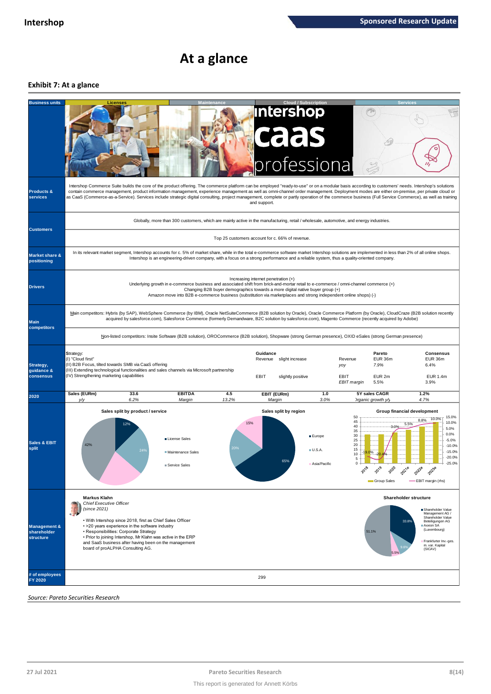# **At a glance**

## **Exhibit 7: At a glance**

| <b>Business units</b>                               |                                                                                                                                                                                                                                                                                                                                                                                  | <b>Licenses</b>                                                                                                                                                                                                                                                                                                                                                                                                                                                                                                                                                                                          |                                                                                                                                         |                                                 |                             | <b>Cloud / Subscription</b><br><b>Intershop</b><br><b>caas</b><br>professional |                                                                 |                                                        |                                                                                                                                                                                           |  |  |  |  |
|-----------------------------------------------------|----------------------------------------------------------------------------------------------------------------------------------------------------------------------------------------------------------------------------------------------------------------------------------------------------------------------------------------------------------------------------------|----------------------------------------------------------------------------------------------------------------------------------------------------------------------------------------------------------------------------------------------------------------------------------------------------------------------------------------------------------------------------------------------------------------------------------------------------------------------------------------------------------------------------------------------------------------------------------------------------------|-----------------------------------------------------------------------------------------------------------------------------------------|-------------------------------------------------|-----------------------------|--------------------------------------------------------------------------------|-----------------------------------------------------------------|--------------------------------------------------------|-------------------------------------------------------------------------------------------------------------------------------------------------------------------------------------------|--|--|--|--|
| <b>Products &amp;</b><br>services                   |                                                                                                                                                                                                                                                                                                                                                                                  | Intershop Commerce Suite builds the core of the product offering. The commerce platform can be employed "ready-to-use" or on a modular basis according to customers' needs. Intershop's solutions<br>contain commerce management, product information management, experience management as well as omni-channel order management. Deployment modes are either on-premise, per private cloud or<br>as CaaS (Commerce-as-a-Service). Services include strategic digital consulting, project management, complete or partly operation of the commerce business (Full Service Commerce), as well as training |                                                                                                                                         |                                                 | and support.                |                                                                                |                                                                 |                                                        |                                                                                                                                                                                           |  |  |  |  |
| <b>Customers</b>                                    |                                                                                                                                                                                                                                                                                                                                                                                  |                                                                                                                                                                                                                                                                                                                                                                                                                                                                                                                                                                                                          | Globally, more than 300 customers, which are mainly active in the manufacturing, retail / wholesale, automotive, and energy industries. | Top 25 customers account for c. 66% of revenue. |                             |                                                                                |                                                                 |                                                        |                                                                                                                                                                                           |  |  |  |  |
|                                                     |                                                                                                                                                                                                                                                                                                                                                                                  | In its relevant market segment, Intershop accounts for c. 5% of market share, while in the total e-commerce software market Intershop solutions are implemented in less than 2% of all online shops.                                                                                                                                                                                                                                                                                                                                                                                                     |                                                                                                                                         |                                                 |                             |                                                                                |                                                                 |                                                        |                                                                                                                                                                                           |  |  |  |  |
| <b>Market share &amp;</b><br>positioning            | Intershop is an engineering-driven company, with a focus on a strong performance and a reliable system, thus a quality-oriented company.                                                                                                                                                                                                                                         |                                                                                                                                                                                                                                                                                                                                                                                                                                                                                                                                                                                                          |                                                                                                                                         |                                                 |                             |                                                                                |                                                                 |                                                        |                                                                                                                                                                                           |  |  |  |  |
| <b>Drivers</b>                                      | Increasing internet penetration (+)<br>Underlying growth in e-commerce business and associated shift from brick-and-mortar retail to e-commerce / omni-channel commerce (+)<br>Changing B2B buyer demographics towards a more digital native buyer group (+)<br>Amazon move into B2B e-commerce business (substitution via marketplaces and strong independent online shops) (-) |                                                                                                                                                                                                                                                                                                                                                                                                                                                                                                                                                                                                          |                                                                                                                                         |                                                 |                             |                                                                                |                                                                 |                                                        |                                                                                                                                                                                           |  |  |  |  |
| <b>Main</b><br>competitors                          |                                                                                                                                                                                                                                                                                                                                                                                  | Main competitors: Hybris (by SAP), WebSphere Commerce (by IBM), Oracle NetSuiteCommerce (B2B solution by Oracle), Oracle Commerce Platform (by Oracle), CloudCraze (B2B solution recently<br>acquired by salesforce.com), Salesforce Commerce (formerly Demandware, B2C solution by salesforce.com), Magento Commerce (recently acquired by Adobe)                                                                                                                                                                                                                                                       |                                                                                                                                         |                                                 |                             |                                                                                |                                                                 |                                                        |                                                                                                                                                                                           |  |  |  |  |
|                                                     |                                                                                                                                                                                                                                                                                                                                                                                  | Non-listed competitors: Insite Software (B2B solution), OROCommerce (B2B solution), Shopware (strong German presence), OXID eSales (strong German presence)                                                                                                                                                                                                                                                                                                                                                                                                                                              |                                                                                                                                         |                                                 |                             |                                                                                |                                                                 |                                                        |                                                                                                                                                                                           |  |  |  |  |
| Strategy,<br>guidance &<br>consensus                | Strategy:<br>(I) "Cloud first"                                                                                                                                                                                                                                                                                                                                                   | (II) B2B Focus, tilted towards SMB via CaaS offering<br>(III) Extending technological functionalities and sales channels via Microsoft partnership<br>(IV) Strengthening marketing capabilities                                                                                                                                                                                                                                                                                                                                                                                                          |                                                                                                                                         |                                                 | Guidance<br>Revenue<br>EBIT | slight increase<br>slightly positive                                           | Revenue<br>yoy<br>EBIT<br><b>EBIT</b> margin                    | Pareto<br>EUR 36m<br>7.9%<br>EUR <sub>2m</sub><br>5.5% | <b>Consensus</b><br>EUR 36m<br>6.4%<br>EUR 1.4m<br>3.9%                                                                                                                                   |  |  |  |  |
| 2020                                                | Sales (EURm)<br>y/y                                                                                                                                                                                                                                                                                                                                                              | 33.6<br>6.2%                                                                                                                                                                                                                                                                                                                                                                                                                                                                                                                                                                                             | <b>EBITDA</b><br>Margin                                                                                                                 | 4.5<br>13.2%                                    | EBIT (EURm)<br>Margin       |                                                                                | 1.0<br>3.0%                                                     | 5Y sales CAGR<br>Organic growth y/                     | 1.2%<br>4.7%                                                                                                                                                                              |  |  |  |  |
| <b>Sales &amp; EBIT</b><br>split                    | 42%                                                                                                                                                                                                                                                                                                                                                                              | Sales split by product / service<br>12%<br>24 <sup>°</sup>                                                                                                                                                                                                                                                                                                                                                                                                                                                                                                                                               | <b>Illicense Sales</b><br>Maintenance Sales<br>Service Sales                                                                            | 20%                                             | 15%                         | Sales split by region<br><b>E</b> Europe<br>ULSA<br>65%                        | 50<br>45<br>40<br>35<br>30<br>25<br>20<br>15<br>10<br>5<br>2018 | 3:0%<br>2019<br>2020<br>Group Sales                    | Group financial development<br>15.0%<br>10.0%<br>8.8%<br>10.0%<br>5.5%<br>5.0%<br>0.0%<br>$-5.0%$<br>$-10.0%$<br>$-15.0%$<br>$-20.0%$<br>$-25.0%$<br>20226<br>20236<br>-EBIT margin (rhs) |  |  |  |  |
|                                                     | <b>Markus Klahn</b>                                                                                                                                                                                                                                                                                                                                                              | Chief Executive Officer                                                                                                                                                                                                                                                                                                                                                                                                                                                                                                                                                                                  |                                                                                                                                         |                                                 |                             |                                                                                |                                                                 |                                                        | Shareholder structure                                                                                                                                                                     |  |  |  |  |
| <b>Management &amp;</b><br>shareholder<br>structure | (since 2021)                                                                                                                                                                                                                                                                                                                                                                     | • With Intershop since 2018, first as Chief Sales Officer<br>• >20 years experience in the software industry<br>· Responsibilities: Corporate Strategy<br>. Prior to joining Intershop, Mr Klahn was active in the ERP<br>and SaaS business after having been on the management<br>board of proALPHA Consulting AG.                                                                                                                                                                                                                                                                                      |                                                                                                                                         |                                                 |                             |                                                                                |                                                                 | 33.8%<br>51.1%                                         | ■ Shareholder Value<br>Management AG /<br>Shareholder Value<br>Beteiligungen AG<br>Axxion SA<br>(Luxembourg)<br>Frankfurter Inv.-ges.<br>m. var. Kapital<br>(SICAV)                       |  |  |  |  |
| # of employees<br><b>FY 2020</b>                    |                                                                                                                                                                                                                                                                                                                                                                                  |                                                                                                                                                                                                                                                                                                                                                                                                                                                                                                                                                                                                          |                                                                                                                                         |                                                 | 299                         |                                                                                |                                                                 |                                                        |                                                                                                                                                                                           |  |  |  |  |
|                                                     | Source: Pareto Securities Research                                                                                                                                                                                                                                                                                                                                               |                                                                                                                                                                                                                                                                                                                                                                                                                                                                                                                                                                                                          |                                                                                                                                         |                                                 |                             |                                                                                |                                                                 |                                                        |                                                                                                                                                                                           |  |  |  |  |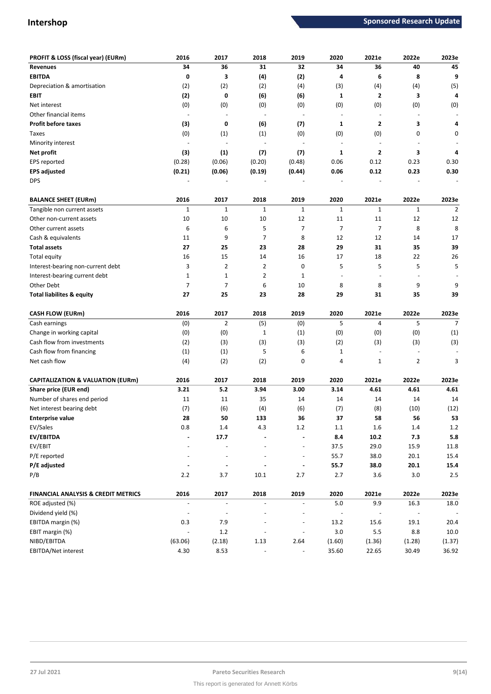| PROFIT & LOSS (fiscal year) (EURm)           | 2016                     | 2017                     | 2018        | 2019                     | 2020           | 2021e                    | 2022e                    | 2023e                    |
|----------------------------------------------|--------------------------|--------------------------|-------------|--------------------------|----------------|--------------------------|--------------------------|--------------------------|
| <b>Revenues</b>                              | 34                       | 36                       | 31          | 32                       | 34             | 36                       | 40                       | 45                       |
| <b>EBITDA</b>                                | 0                        | 3                        | (4)         | (2)                      | 4              | 6                        | 8                        | 9                        |
| Depreciation & amortisation                  | (2)                      | (2)                      | (2)         | (4)                      | (3)            | (4)                      | (4)                      | (5)                      |
| <b>EBIT</b>                                  | (2)                      | 0                        | (6)         | (6)                      | 1              | $\overline{2}$           | 3                        | 4                        |
| Net interest                                 | (0)                      | (0)                      | (0)         | (0)                      | (0)            | (0)                      | (0)                      | (0)                      |
| Other financial items                        |                          |                          |             | $\sim$                   |                |                          |                          |                          |
| <b>Profit before taxes</b>                   | (3)                      | 0                        | (6)         | (7)                      | 1              | $\overline{2}$           | 3                        | 4                        |
| Taxes                                        | (0)                      | (1)                      | (1)         | (0)                      | (0)            | (0)                      | 0                        | 0                        |
| Minority interest                            |                          |                          |             |                          |                |                          |                          |                          |
| Net profit                                   | (3)                      | (1)                      | (7)         | (7)                      | 1              | $\overline{2}$           | 3                        | 4                        |
| EPS reported                                 | (0.28)                   | (0.06)                   | (0.20)      | (0.48)                   | 0.06           | 0.12                     | 0.23                     | 0.30                     |
| <b>EPS adjusted</b>                          | (0.21)                   | (0.06)                   | (0.19)      | (0.44)                   | 0.06           | 0.12                     | 0.23                     | 0.30                     |
| <b>DPS</b>                                   |                          |                          |             |                          |                |                          |                          |                          |
| <b>BALANCE SHEET (EURm)</b>                  | 2016                     | 2017                     | 2018        | 2019                     | 2020           | 2021e                    | 2022e                    | 2023e                    |
| Tangible non current assets                  | $\mathbf 1$              | $\mathbf{1}$             | $\mathbf 1$ | $\mathbf 1$              | $\mathbf{1}$   | $\mathbf{1}$             | $\mathbf 1$              | $\overline{2}$           |
| Other non-current assets                     | 10                       | 10                       | 10          | 12                       | 11             | 11                       | 12                       | 12                       |
| Other current assets                         | 6                        | 6                        | 5           | $\overline{7}$           | 7              | $\overline{7}$           | 8                        | 8                        |
| Cash & equivalents                           | 11                       | 9                        | 7           | 8                        | 12             | 12                       | 14                       | 17                       |
| <b>Total assets</b>                          | 27                       | 25                       | 23          | 28                       | 29             | 31                       | 35                       | 39                       |
| Total equity                                 | 16                       | 15                       | 14          | 16                       | 17             | 18                       | 22                       | 26                       |
| Interest-bearing non-current debt            | 3                        | $\overline{2}$           | 2           | 0                        | 5              | 5                        | 5                        | 5                        |
| Interest-bearing current debt                | $\mathbf 1$              | $\mathbf{1}$             | 2           | $\mathbf 1$              | ÷,             |                          |                          |                          |
| Other Debt                                   | $\overline{7}$           | 7                        | 6           | 10                       | 8              | 8                        | 9                        | 9                        |
| <b>Total liabilites &amp; equity</b>         | 27                       | 25                       | 23          | 28                       | 29             | 31                       | 35                       | 39                       |
| <b>CASH FLOW (EURm)</b>                      | 2016                     | 2017                     | 2018        | 2019                     | 2020           | 2021e                    | 2022e                    | 2023e                    |
| Cash earnings                                | (0)                      | $\overline{2}$           | (5)         | (0)                      | 5              | $\overline{4}$           | 5                        | $\overline{7}$           |
| Change in working capital                    | (0)                      | (0)                      | 1           | (1)                      | (0)            | (0)                      | (0)                      | (1)                      |
| Cash flow from investments                   | (2)                      | (3)                      | (3)         | (3)                      | (2)            | (3)                      | (3)                      | (3)                      |
| Cash flow from financing                     | (1)                      | (1)                      | 5           | 6                        | 1              |                          |                          |                          |
| Net cash flow                                | (4)                      | (2)                      | (2)         | 0                        | 4              | $\mathbf{1}$             | $\overline{2}$           | 3                        |
| <b>CAPITALIZATION &amp; VALUATION (EURm)</b> | 2016                     | 2017                     | 2018        | 2019                     | 2020           | 2021e                    | 2022e                    | 2023e                    |
| Share price (EUR end)                        | 3.21                     | 5.2                      | 3.94        | 3.00                     | 3.14           | 4.61                     | 4.61                     | 4.61                     |
| Number of shares end period                  | 11                       | 11                       | 35          | 14                       | 14             | 14                       | 14                       | 14                       |
| Net interest bearing debt                    | (7)                      | (6)                      | (4)         | (6)                      | (7)            | (8)                      | (10)                     | (12)                     |
| <b>Enterprise value</b>                      | 28                       | 50                       | 133         | 36                       | 37             | 58                       | 56                       | 53                       |
| EV/Sales                                     | 0.8                      | 1.4                      | 4.3         | 1.2                      | 1.1            | 1.6                      | 1.4                      | 1.2                      |
| EV/EBITDA                                    |                          | 17.7                     |             |                          | 8.4            | 10.2                     | 7.3                      | 5.8                      |
| EV/EBIT                                      |                          |                          |             |                          | 37.5           | 29.0                     | 15.9                     | 11.8                     |
| P/E reported                                 |                          |                          |             | $\overline{\phantom{a}}$ | 55.7           | 38.0                     | 20.1                     | 15.4                     |
| P/E adjusted                                 |                          |                          |             |                          | 55.7           | 38.0                     | 20.1                     | 15.4                     |
| P/B                                          | $2.2$                    | 3.7                      | 10.1        | 2.7                      | 2.7            | 3.6                      | $3.0\,$                  | 2.5                      |
| FINANCIAL ANALYSIS & CREDIT METRICS          | 2016                     | 2017                     | 2018        | 2019                     | 2020           | 2021e                    | 2022e                    | 2023e                    |
| ROE adjusted (%)                             | $\overline{\phantom{a}}$ | $\overline{\phantom{a}}$ |             |                          | 5.0            | 9.9                      | 16.3                     | 18.0                     |
| Dividend yield (%)                           | $\overline{\phantom{a}}$ |                          |             |                          | $\blacksquare$ | $\overline{\phantom{a}}$ | $\overline{\phantom{a}}$ | $\overline{\phantom{a}}$ |
| EBITDA margin (%)                            | 0.3                      | 7.9                      |             |                          | 13.2           | 15.6                     | 19.1                     | 20.4                     |
| EBIT margin (%)                              | $\overline{\phantom{a}}$ | $1.2\,$                  |             | $\overline{a}$           | $3.0\,$        | 5.5                      | 8.8                      | 10.0                     |
| NIBD/EBITDA                                  | (63.06)                  | (2.18)                   | 1.13        | 2.64                     | (1.60)         | (1.36)                   | (1.28)                   | (1.37)                   |
| EBITDA/Net interest                          | 4.30                     | 8.53                     |             |                          | 35.60          | 22.65                    | 30.49                    | 36.92                    |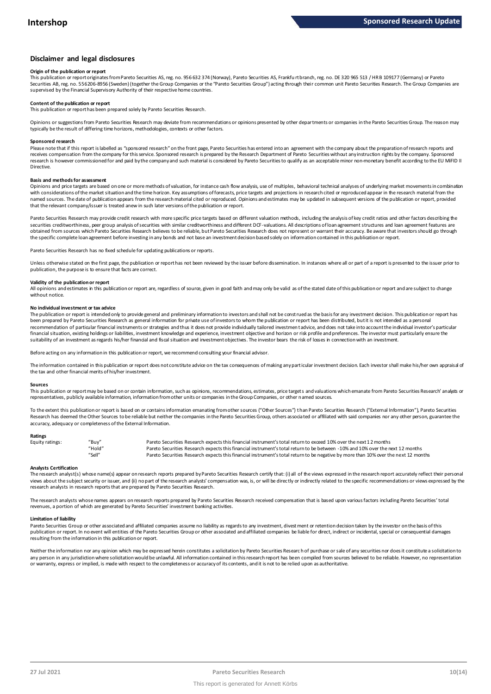#### **Disclaimer and legal disclosures**

#### **Origin of the publication or report**

This publication or report originates from Pareto Securities AS, reg. no. 956 632 374 (Norway), Pareto Securities AS, Frankfu rt branch, reg. no. DE 320 965 513 / HR B 109177 (Germany) or Pareto Securities AB, reg. no. 556206-8956 (Sweden) (together the Group Companies or the "Pareto Securities Group") acting through their common unit Pareto Securities Research. The Group Companies are supervised by the Financial Supervisory Authority of their respective home countries.

#### **Content of the publication or report**

This publication or report has been prepared solely by Pareto Securities Research.

Opinions or suggestions from Pareto Securities Research may deviate from recommendations or opinions presented by other departments or companies in the Pareto Securities Group. The reason may typically be the result of differing time horizons, methodologies, contexts or other factors.

#### **Sponsored research**

Please note that if this report is labelled as "sponsored research" on the front page, Pareto Securities has entered into an agreement with the company about the preparation of research reports and receives compensation from the company for this service. Sponsored research is prepared by the Research Department of Pareto Securities without any instruction rights by the company. Sponsored research is however commissioned for and paid by the company and such material is considered by Pareto Securities to qualify as an acceptable minor non-monetary benefit according to the EU MiFID II Directive.

#### **Basis and methods for assessment**

Opinions and price targets are based on one or more methods of valuation, for instance cash flow analysis, use of multiples, behavioral technical analyses of underlying market movements in combination with considerations of the market situation and the time horizon. Key assumptions of forecasts, price targets and projections in research cited or reproduced appear in the research material from the named sources. The date of publication appears from the research material cited or reproduced. Opinions and estimates may be updated in subsequent versions of the publication or report, provided in subsequent versions of t that the relevant company/issuer is treated anew in such later versions of the publication or report.

Pareto Securities Research may provide credit research with more specific price targets based on different valuation methods, including the analysis of key credit ratios and other factors describing the securities creditworthiness, peer group analysis of securities with similar creditworthiness and different DCF-valuations. All descriptions of loan agreement structures and loan agreement features are obtained from sources which Pareto Securities Research believes to be reliable, but Pareto Securities Research does not represent or warrant their accuracy. Be aware that investors should go through the specific complete loan agreement before investing in any bonds and not base an investment decision based solely on information contained in this publication or report.

Pareto Securities Research has no fixed schedule for updating publications or reports.

Unless otherwise stated on the first page, the publication or report has not been reviewed by the issuer before dissemination. In instances where all or part of a report is presented to the issuer prior to publication, the purpose is to ensure that facts are correct.

#### **Validity of the publication or report**

All opinions and estimates in this publication or report are, regardless of source, given in good faith and may only be valid as of the stated date of this publication or report and are subject to change without notice.

#### **No individual investment or tax advice**

The publication or report is intended only to provide general and preliminary information to investors and shall not be construed as the basis for any investment decision. This publication or report has been prepared by Pareto Securities Research as general information for private use of investors to whom the publication or report has been distributed, but it is not intended as a personal recommendation of particular financial instruments or strategies and thus it does not provide individually tailored investmen t advice, and does not take into account the individual investor's particular financial situation, existing holdings or liabilities, investment knowledge and experience, investment objective and horizon or risk profile and preferences. The investor must particularly ensure the suitability of an investment as regards his/her financial and fiscal situation and investment objectives. The investor bears the risk of losses in connection with an investment.

Before acting on any information in this publication or report, we recommend consulting your financial advisor.

The information contained in this publication or report does not constitute advice on the tax consequences of making any particular investment decision. Each investor shall make his/her own appraisal of the tax and other financial merits of his/her investment.

#### **Sources**

This publication or report may be based on or contain information, such as opinions, recommendations, estimates, price targets and valuations which emanate from Pareto Securities Research' analysts or representatives, publicly available information, information from other units or companies in the Group Companies, or other named sources.

To the extent this publication or report is based on or contains information emanating from other sources "Other Sources") than Pareto Securities Research ("External Information"), Pareto Securities Research has deemed the Other Sources to be reliable but neither the companies in the Pareto Securities Group, others associated or affiliated with said companies nor any other person, guarantee the accuracy, adequacy or completeness of the External Information.

#### **Ratings**

| Equity ratings: | "Buv"  | Pareto Securities Research expects this financial instrument's total return to exceed 10% over the next 12 months                   |
|-----------------|--------|-------------------------------------------------------------------------------------------------------------------------------------|
|                 | "Hold" | Pareto Securities Research expects this financial instrument's total return to be between -10% and 10% over the next 12 months      |
|                 | "Sell" | Pareto Securities Research expects this financial instrument's total return to be negative by more than 10% over the next 12 months |

Analysts Certification<br>The research analyst(s) whose name(s) appear on research reports prepared by Pareto Securities Research certify that: (i) all of the views expressed in the research report accurately reflect their pe "Hold"<br>"Sell" Pareto Securities Research expects this financial instrument's total return to be between -1.0% and 1.0% over the next 12 months<br>"Sell" Pareto Securities Research expects this financial instrument's total ret research analysts in research reports that are prepared by Pareto Securities Research.

The research analysts whose names appears on research reports prepared by Pareto Securities Research received compensation that is based upon various factors including Pareto Securities' total revenues, a portion of which are generated by Pareto Securities' investment banking activities.

#### **Limitation of liability**

Pareto Securities Group or other associated and affiliated companies assume no liability as regards to any investment, divest ment or retention decision taken by the investor on the basis of this publication or report. In no event will entities of the Pareto Securities Group or other associated and affiliated companies be liable for direct, indirect or incidental, special or consequential damages resulting from the information in this publication or report.

Neither the information nor any opinion which may be expressed herein constitutes a solicitation by Pareto Securities Research of purchase or sale of any securities nor does it constitute a solicitation to any person in any jurisdiction where solicitation would be unlawful. All information contained in this research report has been compiled from sources believed to be reliable. However, no representation or warranty, express or implied, is made with respect to the completeness or accuracy of its contents, and it is not to be relied upon as authoritative.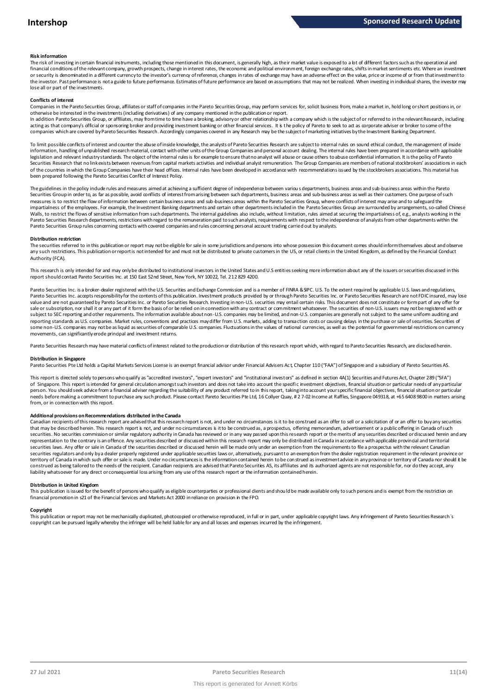#### **Risk information**

The risk of investing in certain financial instruments, including those mentioned in this document, is generally high, as their market value is exposed to a lot of different factors such as the operational and financial conditions of the relevant company, growth prospects, change in interest rates, the economic and political environment, foreign exchange rates, shifts in market sentiments etc. Where an investment met.<br>or securit the investor. Past performance is not a guide to future performance. Estimates of future performance are based on assumptions that may not be realized. When investing in individual shares, the investor may lose all or part of the investments.

#### **Conflicts of interest**

Companies in the Pareto Securities Group, affiliates or staff of companies in the Pareto Securities Group, may perform services for, solicit business from, make a market in, hold long or short positions in, or otherwise be interested in the investments (including derivatives) of any company mentioned in the publication or report.

In addition Pareto Securities Group, or affiliates, may from time to time have a broking, advisory or other relationship with a company which is the subject of or referred to in the relevant Research, including acting as that company's official or sponsoring broker and providing investment banking or other financial services. It is the policy of Pareto to seek to act as corporate adviser or broker to some of the<br>companies which a

To limit possible conflicts of interest and counter the abuse of inside knowledge, the analysts of Pareto Securities Research are subject to internal rules on sound ethical conduct, the management of inside<br>information, ha legislation and relevant industry standards. The object of the internal rules is for example to ensure that no analyst will abuse or cause others to abuse confidential information. It is the policy of Pareto Securities Research that no link exists between revenues from capital markets activities and individual analyst remuneration. The Group Companies are members of national stockbrokers' associations in each of the countries in which the Group Companies have their head offices. Internal rules have been developed in accordance with recommendations issued by the stockbrokers associations. This material has been prepared following the Pareto Securities Conflict of Interest Policy.

The guidelines in the policy indude rules and measures aimed at achieving a sufficient degree of independence between variou s departments, business areas and sub-business areas within the Pareto Securities Group in order to, as far as possible, avoid conflicts of interest from arising between such departments, business areas and sub-business areas as well as their customers. One purpose of such measures is to restrict the flow of information between certain business areas and sub-business areas within the Pareto Securities Group, where conflicts of interest may arise and to safeguard the impartialness of the empl The guidelines in the policy indude rules and measures aimed at achieving a sufficient degree of independence between various departments, business areas and sub-business areas within the Pareto<br>Securities Group in order t Pareto Securities Group rules concerning contacts with covered companies and rules concerning personal account trading carried out by analysts.

#### **Distribution restriction**

The securities referred to in this publication or report may not be eligible for sale in some jurisdictions and persons into whose possession this document comes should inform themselves about and observe Pareto Securities Group rules concerning contacts with covered companies and rules concerning personal account trading carried out by analysts.<br>Distribution restriction<br>The securities referred to in this publication or rep Authority (FCA).

This research is only intended for and may only be distributed to institutional investors in the United States and U.S entities seeking more information about any of the issuers or securities discussed in this report should contact Pareto Securities Inc. at 150 East 52nd Street, New York, NY 10022, Tel. 212 829 4200.

Pareto Securities Inc. is a broker-dealer registered with the U.S. Securities and Exchange Commission and is a member of FINRA & SPC. U.S. To the extent required by applicable U.S. laws and regulations, Pareto Securities Inc. accepts responsibility for the contents of this publication. Investment products provided by or through Pareto Securities Inc. or Pareto Securities Research are not FDIC insured, may lose value and are not guaranteed by Pareto Securities Inc. or Pareto Securities Research. Investing in non-U.S. securities may entail certain risks. This document does not constitute or form part of any offer for sale or subscription, nor shall it or any part of it form the basis of or be relied on in connection with any contract or commitment whatsoever. The securities of non-U.S. issuers may not be registered with or subject to SEC reporting and other requirements. The information available about non-U.S. companies may be limited, and non-U.S. companies are generally not subject to the same uniform auditing and subject to the same unif reporting standards as U.S. companies. Market rules, conventions and practices may differ from U.S. markets, adding to transaction costs or causing delays in the purchase or sale of securities. Securities of some non-U.S. companies may not be as liquid as securities of comparable U.S. companies. Fluctuations in the values of national currencies, as well as the potential for governmental restrictions on currency movements, can significantly erode principal and investment returns.

Pareto Securities Research may have material conflicts of interest related to the production or distribution of this research report which, with regard to Pareto Securities Research, are disclosed herein.

#### **Distribution in Singapore**

Pareto Securities Pte Ltd holds a Capital Markets Services License is an exempt financial advisor under Financial Advisers Act, Chapter 110 ("FAA") of Singapore and a subsidiary of Pareto Securities AS.

This report is directed solely to persons who qualify as "accredited investors", "expert investors" and "institutional investors" as defined in section 4A(1) Securities and Futures Act, Chapter 289 ("SFA") Distribution in Singapore<br>Pareto Securities Pte Ltd holds a Capital Markets Services License is an exempt financial advisor under Financial Advisers Act, Chapter 110 ("FAA") of Singapore and a subsidiary of Pareto Securiti person. You should seek advice from a financial adviser regarding the suitability of any product referred to in this report, taking into account your specific financial objectives, financial situation or particular needs before making a commitment to purchase any such product. Please contact Pareto Securities Pte Ltd, 16 Collyer Quay, # 2 7-02 Income at Raffles, Singapore 049318, at +65 6408 9800 in matters arising from, or in connection with this report.

Additional provisions on Recommendations distributed in the Canada<br>Canadian recipients of this research report are advised that this research report is not, and under no circumstances is it to be construed as an offer to s needs before making a commitment to purchase any such product. Please contact Pareto Securities Pte Ltd, 16 Collyer Quay, # 2 7-02 Income at Raffles, Singapore 049318, at +65 6408 9800 in matters arisin<br>from, or in connect from, or in connection with this report.<br>Additional provisions on Recommendations distributed in the Canada<br>Canadian recipients of this research report are advised that this research report is not, and under no circumstanc securities. No securities commission or similar regulatory authority in Canada has reviewed or in any way passed upon this research report or the merits of any securities described or discussed herein and any representation to the contrary is an offence. Any securities described or discussed within this research report may only be distributed in Canada in accordance with applicable provincial and territorial<br>securities laws. An securities regulators and only bya dealer properly registered under applicable securities laws or, alternatively, pursuant to an exemption from the dealer registration requirement in the relevant province or territory of Canada in which such offer or sale is made. Under no circumstances is the information contained herein to be construed as investment advice in any province or territory of Canada nor should it be construed as being tailored to the needs of the recipient. Canadian redpients are advised that Pareto Securities AS, its affiliates and its authorized agents are not responsible for, nor do they accept, any liability whatsoever for any direct or consequential loss arising from any use of this research report or the information contained herein.

#### **Distribution in United Kingdom**

This publication is issued for the benefit of persons who qualify as eligible counterparties or professional dients and should be made available only to such persons and is exempt from the restriction on financial promotion in s21 of the Financial Services and Markets Act 2000 in reliance on provision in the FPO.

#### **Copyright**

This publication or report may not be mechanically duplicated, photocopied or otherwise reproduced, in full or in part, under applicable copyright laws. Any infringement of Pareto Securities Research's copyright can be pursued legally whereby the infringer will be held liable for any and all losses and expenses incurred by the infringement.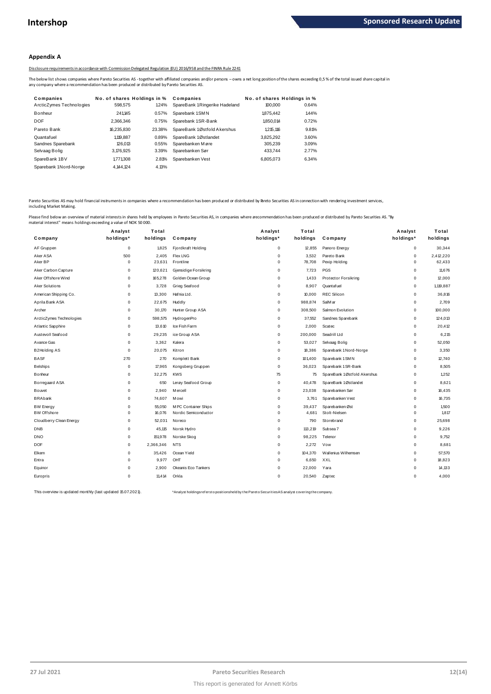#### **Appendix A**

Disclosure requirements in accordance with Commission Delegated Regulation (EU) 2016/958 and the FINRA Rule 2241

|                                                                                              |                             |        | Disclosure requirements in accordance with Commission Delegated Regulation (EU) 2016/958 and the FINRA Rule 2241                                                                                           |           |                             |  |
|----------------------------------------------------------------------------------------------|-----------------------------|--------|------------------------------------------------------------------------------------------------------------------------------------------------------------------------------------------------------------|-----------|-----------------------------|--|
| any company where a recommendation has been produced or distributed by Pareto Securities AS. |                             |        | The below list shows companies where Pareto Securities AS - together with affiliated companies and/or persons - owns a net long position of the shares exceeding 0,5% of the total issued share capital in |           |                             |  |
| Companies                                                                                    | No. of shares Holdings in % |        | Companies                                                                                                                                                                                                  |           | No. of shares Holdings in % |  |
| ArcticZymes Technologies                                                                     | 598.575                     | 124%   | SpareBank 1Ringerike Hadeland                                                                                                                                                                              | 100.000   | 0.64%                       |  |
| <b>Bonheur</b>                                                                               | 241.145                     | 0.57%  | Sparebank 1SMN                                                                                                                                                                                             | 1875.442  | 1.44%                       |  |
| <b>DOF</b>                                                                                   | 2.366.346                   | 0.75%  | Sparebank 1SR-Bank                                                                                                                                                                                         | 1.850.014 | 0.72%                       |  |
| Pareto Bank                                                                                  | 16.235.830                  | 23.38% | SpareBank 1Østfold Akershus                                                                                                                                                                                | 1.215.116 | 9.81%                       |  |
| Quantafuel                                                                                   | 1.119.887                   | 0.89%  | SpareBank 1Østlandet                                                                                                                                                                                       | 3.825.292 | 3.60%                       |  |
| Sandnes Sparebank                                                                            | 126.013                     | 0.55%  | Sparebanken Møre                                                                                                                                                                                           | 305.239   | 3.09%                       |  |
| Selvaag Bolig                                                                                | 3,176,925                   | 3.39%  | Sparebanken Sør                                                                                                                                                                                            | 433.744   | 2.77%                       |  |
| SpareBank 1BV                                                                                | 1.771.308                   | 2.81%  | Sparebanken Vest                                                                                                                                                                                           | 6.805.073 | 6.34%                       |  |
| Sparebank 1Nord-Norge                                                                        | 4.144.124                   | 4.13%  |                                                                                                                                                                                                            |           |                             |  |
|                                                                                              |                             |        |                                                                                                                                                                                                            |           |                             |  |

Pareto Securities AS may hold financial instruments in companies where a recommendation has been produced or distributed by Pareto Securities AS in connection with rendering investment services,<br>including Market Making.

|                          | Analyst     | Total     |                       | Analyst     | Total    |                             | Analyst     | Total     |
|--------------------------|-------------|-----------|-----------------------|-------------|----------|-----------------------------|-------------|-----------|
| Company                  | holdings*   | holdings  | Company               | holdings*   | holdings | Company                     | holdings*   | holdings  |
| AF Gruppen               | 0           | 1,825     | Fjordkraft Holding    | $\mathbf 0$ | 12,855   | Panoro Energy               | 0           | 30,344    |
| Aker ASA                 | 500         | 2,405     | <b>Flex LNG</b>       | 0           | 3,532    | Pareto Bank                 | 0           | 2,412,220 |
| Aker BP                  | $\mathbf 0$ | 23,631    | Frontline             | 0           | 78,708   | Pexip Holding               | $\Omega$    | 62,433    |
| Aker Carbon Capture      | $\mathbf 0$ | 120,621   | Gjensidige Forsikring | 0           | 7,723    | <b>PGS</b>                  | 0           | 11,676    |
| Aker Offshore Wind       | $\Omega$    | 165,278   | Golden Ocean Group    | 0           | 1.433    | <b>Protector Forsikring</b> | 0           | 12,000    |
| Aker Solutions           | $\mathbf 0$ | 3,728     | Grieg Seafood         | $\mathbf 0$ | 8,907    | Quantafuel                  | $\mathbf 0$ | 1,119,887 |
| American Shipping Co.    | $\mathbf 0$ | 13,300    | Hafnia Ltd.           | 0           | 10,000   | <b>REC Silicon</b>          | 0           | 36,816    |
| Aprila Bank ASA          | $\mathbf 0$ | 22,675    | Huddly                | $\mathbf 0$ | 988,874  | SalM ar                     | 0           | 2.709     |
| Archer                   | $\mathbf 0$ | 30,170    | Hunter Group ASA      | 0           | 308,500  | Salmon Evolution            | 0           | 100,000   |
| ArcticZymes Technologies | $\Omega$    | 598,575   | HydrogenPro           | 0           | 37,552   | Sandnes Sparebank           | 0           | 124,013   |
| Atlantic Sapphire        | $\Omega$    | 13,610    | Ice Fish Farm         | 0           | 2,000    | Scatec                      | 0           | 20,412    |
| Austevoll Seafood        | $\Omega$    | 29,235    | ice Group ASA         | 0           | 200,000  | Seadrill Ltd                | $\Omega$    | 6,215     |
| Avance Gas               | $\mathbf 0$ | 3,362     | Kalera                | $\mathbf 0$ | 53,027   | Selvaag Bolig               | 0           | 52,050    |
| B2Holding AS             | $\mathbf 0$ | 20,075    | Kitron                | 0           | 18,386   | Sparebank 1 Nord-Norge      | $\mathbf 0$ | 3,350     |
| <b>BASF</b>              | 270         | 270       | Komplett Bank         | $\mathbf 0$ | 101,400  | Sparebank 1 SMN             | $\mathbf 0$ | 12,740    |
| <b>Belships</b>          | $\mathbf 0$ | 17,965    | Kongsberg Gruppen     | $\mathbf 0$ | 36,023   | Sparebank 1 SR-Bank         | $\Omega$    | 8,505     |
| Bonheur                  | $\mathsf 0$ | 32,275    | <b>KWS</b>            | 75          | 75       | SpareBank 1Østfold Akershus | 0           | 1,252     |
| Borregaard ASA           | $\mathbf 0$ | 650       | Lerøy Seafood Group   | 0           | 40,478   | SpareBank 1Østlandet        | 0           | 8.621     |
| Bouvet                   | $\Omega$    | 2.940     | <b>M</b> ercell       | $\mathbf 0$ | 23,038   | Sparebanken Sør             | 0           | 16.435    |
| <b>BRAbank</b>           | $\Omega$    | 74,607    | Mowi                  | $\mathbf 0$ | 3,761    | Sparebanken Vest            | $\mathbf 0$ | 16,735    |
| <b>BW Energy</b>         | $\Omega$    | 55,050    | M PC Container Ships  | 0           | 39,437   | Sparebanken Øst             | $\Omega$    | 1,500     |
| <b>BW</b> Offshore       | $\mathbf 0$ | 16,076    | Nordic Semiconductor  | $\mathbf 0$ | 4,681    | Stolt-Nielsen               | 0           | 1.817     |
| Cloudberry Clean Energy  | $\mathbf 0$ | 52,031    | Noreco                | $\mathbf 0$ | 790      | Storebrand                  | $\mathbf 0$ | 25,698    |
| DNB                      | $\mathbf 0$ | 45,115    | Norsk Hydro           | $\mathbf 0$ | 113,219  | Subsea 7                    | $\mathbf 0$ | 9,226     |
| <b>DNO</b>               | $\mathbf 0$ | 151,978   | Norske Skog           | 0           | 98,225   | Telenor                     | $\Omega$    | 9,752     |
| <b>DOF</b>               | 0           | 2,366,346 | <b>NTS</b>            | 0           | 2,272    | Vow                         | 0           | 8,681     |
| Elkem                    | $\Omega$    | 35,426    | Ocean Yield           | 0           | 104,370  | Wallenius Wilhemsen         | $\Omega$    | 57,570    |
| Entra                    | $\Omega$    | 9,977     | OHT                   | 0           | 6,650    | XXL                         | $\Omega$    | 18,823    |
| Equinor                  | $\Omega$    | 2,900     | Okeanis Eco Tankers   | $\mathbf 0$ | 22,000   | Yara                        | $\Omega$    | 14,133    |
| Europris                 | $\Omega$    | 11,414    | Orkla                 | $\mathbf 0$ | 20,540   | Zaptec                      | $\Omega$    | 4,000     |

This overview is updated monthly (last updated 15.07.2021). \*\*\* Analyst holdings referst opositionsheld by the Pareto Securities AS analyst covering the company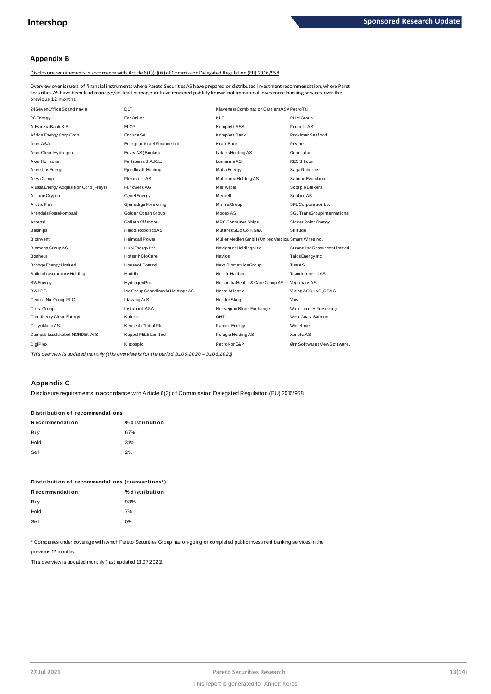#### **Appendix B**

Disclosure requirements in accordance with Article 6(1)(c)(iii) of Commission Delegated Regulation (EU) 2016/958

24SevenOf f ice Scandinavia DLT Klaveness Combinat ion Carriers ASAPet roTal Securities AS have been lead manager/co-lead manager or have rendered publicly known not immaterial investment banking services over the Overview over issuers of financial instruments where Pareto Securities AS have prepared or distributed investment recommendation, where Pareto previous 12 months:

|                                  | <b>KLP</b><br>Komplett ASA                         | PHM Group<br>PronofaAS        |
|----------------------------------|----------------------------------------------------|-------------------------------|
|                                  |                                                    |                               |
|                                  |                                                    |                               |
|                                  | Komplett Bank                                      | Proximar Seafood              |
| Energean Israel Finance Ltd.     | Kraft Bank                                         | Pryme                         |
| Enviv AS (Bookis)                | Lakers Holding AS                                  | Quant af uel                  |
| Fertiberia S.A.R.L.              | Lumarine AS                                        | <b>RECSilicon</b>             |
| Fjordkraft Holding               | Maha Energy                                        | Saga Robotics                 |
|                                  | Malorama Holding AS                                | Salmon Evolution              |
|                                  | Meltwater                                          | Scorpio Bulkers               |
|                                  | Mercell                                            | Seafire AB                    |
| Gjensidige Forsikring            | Mintra Group                                       | SFL Corporation Ltd           |
| Golden Ocean Group               | Modex AS                                           | SGL TransGroup International  |
| Goliath Offshore                 | <b>MPC Container Ships</b>                         | Siccar Point Energy           |
| Halodi RoboticsAS                | MutaresSE&Co.KGaA                                  | <b>Skitude</b>                |
| <b>Heimdall Power</b>            | Müller Medien GmbH (United Vertica Smart WiresInc. |                               |
| HKN Energy Ltd                   | Navigator HoldingsLtd.                             | Strandline Resources Limited  |
| Hof set h BioCare                | <b>Navios</b>                                      | Talos Energy Inc              |
| House of Control                 | Next BiometricsGroup                               | <b>Tise AS</b>                |
|                                  | Nordic Halibut                                     | Trønderenergi AS              |
| HydrogenPro                      | Norlandia Health & Care Group AS                   | VegfinansAS                   |
| Ice Group Scandinavia HoldingsAS | Norse Atlantic                                     | Viking ACQ1AS, SPAC           |
|                                  | Norske Skog                                        | Vow                           |
| Instabank ASA                    | Norwegian Block Exchange                           | <b>WatercirclesForsikring</b> |
|                                  | OHT                                                | West Coast Salmon             |
| Kentech Global Plc               | Panoro Energy                                      | Wheel.me                      |
|                                  |                                                    |                               |
| Keppel FELS Limited              | Pelagia Holding AS                                 | <b>XenetaAS</b>               |
|                                  |                                                    |                               |

*This overview is updated monthly (this overview is for the period 3 1.0 6.2020 – 3 1.0 6.2021).*

#### **Appendix C**

Disclosure requirements in accordance with Article 6(3) of Commission Delegated Regulation (EU) 2016/958

# <u>DISCIO SUFE requirements in accordar</u><br>Distribution of recommendations<br>-

| Distribution of recommendations |                |  |  |  |  |
|---------------------------------|----------------|--|--|--|--|
| Recommendation                  | % distribution |  |  |  |  |
| Buy                             | 67%            |  |  |  |  |
| Hold                            | 31%            |  |  |  |  |
| Sell                            | 2%             |  |  |  |  |
|                                 |                |  |  |  |  |

| Distribution of recommendations (transactions*) |                |
|-------------------------------------------------|----------------|
| Recommendation                                  | % distribution |
| Buy                                             | 93%            |
| Hold                                            | 7%             |
| Sell                                            | $0\%$          |
|                                                 |                |

\* Companies under coverage with which Pareto Securities Group has on-going or completed public investment banking services in the

previous 12 months.

This overview is updated monthly (last updated 13.07.2021).